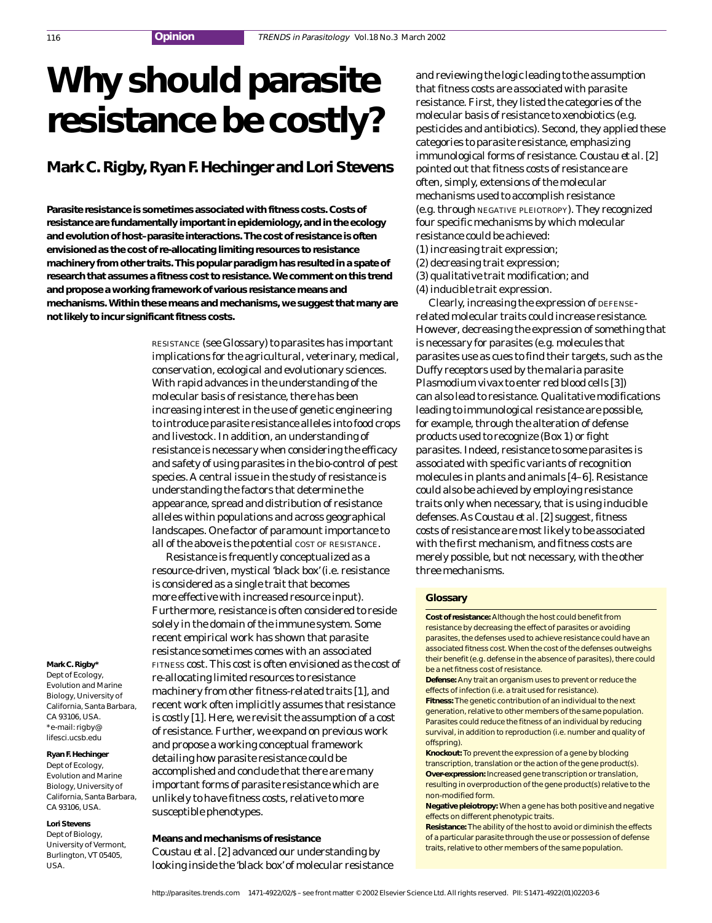# **Why should parasite resistance be costly?**

# **Mark C. Rigby, Ryan F. Hechinger and Lori Stevens**

**Parasite resistance is sometimes associated with fitness costs. Costs of resistance are fundamentally important in epidemiology, and in the ecology and evolution of host–parasite interactions. The cost of resistance is often envisioned as the cost of re-allocating limiting resources to resistance machinery from other traits. This popular paradigm has resulted in a spate of research that assumes a fitness cost to resistance. We comment on this trend and propose a working framework of various resistance means and mechanisms. Within these means and mechanisms, we suggest that many are not likely to incur significant fitness costs.**

> RESISTANCE (see Glossary) to parasites has important implications for the agricultural, veterinary, medical, conservation, ecological and evolutionary sciences. With rapid advances in the understanding of the molecular basis of resistance, there has been increasing interest in the use of genetic engineering to introduce parasite resistance alleles into food crops and livestock. In addition, an understanding of resistance is necessary when considering the efficacy and safety of using parasites in the bio-control of pest species. A central issue in the study of resistance is understanding the factors that determine the appearance, spread and distribution of resistance alleles within populations and across geographical landscapes. One factor of paramount importance to all of the above is the potential COST OF RESISTANCE.

> Resistance is frequently conceptualized as a resource-driven, mystical 'black box'(i.e. resistance is considered as a single trait that becomes more effective with increased resource input). Furthermore, resistance is often considered to reside solely in the domain of the immune system. Some recent empirical work has shown that parasite resistance sometimes comes with an associated FITNESS cost. This cost is often envisioned as the cost of re-allocating limited resources to resistance machinery from other fitness-related traits [1], and recent work often implicitly assumes that resistance is costly [1]. Here, we revisit the assumption of a cost of resistance. Further, we expand on previous work and propose a working conceptual framework detailing how parasite resistance could be accomplished and conclude that there are many important forms of parasite resistance which are unlikely to have fitness costs, relative to more susceptible phenotypes.

**Means and mechanisms of resistance** Coustau *et al*. [2] advanced our understanding by looking inside the 'black box'of molecular resistance and reviewing the logic leading to the assumption that fitness costs are associated with parasite resistance. First, they listed the categories of the molecular basis of resistance to xenobiotics (e.g. pesticides and antibiotics). Second, they applied these categories to parasite resistance, emphasizing immunological forms of resistance. Coustau *et al*. [2] pointed out that fitness costs of resistance are often, simply, extensions of the molecular mechanisms used to accomplish resistance (e.g. through NEGATIVE PLEIOTROPY). They recognized four specific mechanisms by which molecular resistance could be achieved: (1) increasing trait expression; (2) decreasing trait expression;

(3) qualitative trait modification; and (4) inducible trait expression.

Clearly, increasing the expression of DEFENSErelated molecular traits could increase resistance. However, decreasing the expression of something that is necessary for parasites (e.g. molecules that parasites use as cues to find their targets, such as the Duffy receptors used by the malaria parasite *Plasmodium vivax* to enter red blood cells [3]) can also lead to resistance. Qualitative modifications leading to immunological resistance are possible, for example, through the alteration of defense products used to recognize (Box 1) or fight parasites. Indeed, resistance to some parasites is associated with specific variants of recognition molecules in plants and animals [4–6]. Resistance could also be achieved by employing resistance traits only when necessary, that is using inducible defenses. As Coustau *et al*. [2] suggest, fitness costs of resistance are most likely to be associated with the first mechanism, and fitness costs are merely possible, but not necessary, with the other three mechanisms.

## **Glossary**

**Cost of resistance:** Although the host could benefit from resistance by decreasing the effect of parasites or avoiding parasites, the defenses used to achieve resistance could have an associated fitness cost. When the cost of the defenses outweighs their benefit (e.g. defense in the absence of parasites), there could be a net fitness cost of resistance.

**Defense:** Any trait an organism uses to prevent or reduce the effects of infection (i.e. a trait used for resistance). **Fitness:** The genetic contribution of an individual to the next generation, relative to other members of the same population. Parasites could reduce the fitness of an individual by reducing survival, in addition to reproduction (i.e. number and quality of offspring).

**Knockout:** To prevent the expression of a gene by blocking transcription, translation or the action of the gene product(s). **Over-expression:** Increased gene transcription or translation, resulting in overproduction of the gene product(s) relative to the non-modified form.

**Negative pleiotropy:** When a gene has both positive and negative effects on different phenotypic traits.

**Resistance:** The ability of the host to avoid or diminish the effects of a particular parasite through the use or possession of defense traits, relative to other members of the same population.

#### **Mark C. Rigby\***

Dept of Ecology, Evolution and Marine Biology, University of California, Santa Barbara, CA 93106, USA. \*e-mail: rigby@ lifesci.ucsb.edu

#### **Ryan F. Hechinger**

Dept of Ecology, Evolution and Marine Biology, University of California, Santa Barbara, CA 93106, USA.

#### **Lori Stevens**

Dept of Biology, University of Vermont, Burlington, VT 05405, USA.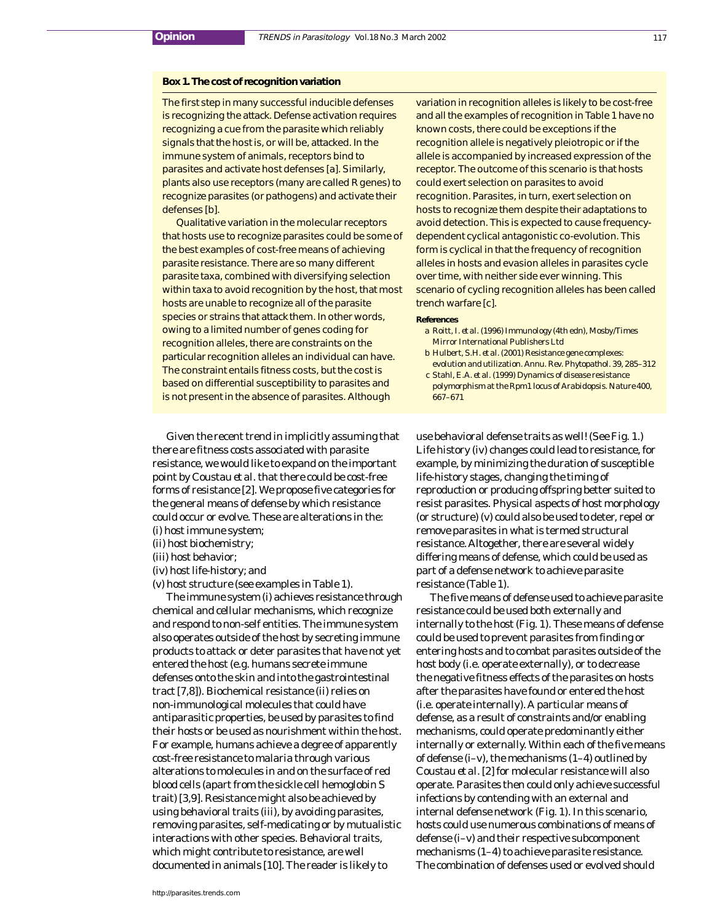#### **Box 1. The cost of recognition variation**

The first step in many successful inducible defenses is recognizing the attack. Defense activation requires recognizing a cue from the parasite which reliably signals that the host is, or will be, attacked. In the immune system of animals, receptors bind to parasites and activate host defenses [a]. Similarly, plants also use receptors (many are called R genes) to recognize parasites (or pathogens) and activate their defenses [b].

Qualitative variation in the molecular receptors that hosts use to recognize parasites could be some of the best examples of cost-free means of achieving parasite resistance. There are so many different parasite taxa, combined with diversifying selection within taxa to avoid recognition by the host, that most hosts are unable to recognize all of the parasite species or strains that attack them. In other words, owing to a limited number of genes coding for recognition alleles, there are constraints on the particular recognition alleles an individual can have. The constraint entails fitness costs, but the cost is based on differential susceptibility to parasites and is not present in the absence of parasites. Although

variation in recognition alleles is likely to be cost-free and all the examples of recognition in Table 1 have no known costs, there could be exceptions if the recognition allele is negatively pleiotropic or if the allele is accompanied by increased expression of the receptor. The outcome of this scenario is that hosts could exert selection on parasites to avoid recognition. Parasites, in turn, exert selection on hosts to recognize them despite their adaptations to avoid detection. This is expected to cause frequencydependent cyclical antagonistic co-evolution. This form is cyclical in that the frequency of recognition alleles in hosts and evasion alleles in parasites cycle over time, with neither side ever winning. This scenario of cycling recognition alleles has been called trench warfare [c].

#### **References**

- a Roitt, I. *et al*. (1996) *Immunology* (4th edn), Mosby/Times Mirror International Publishers Ltd
- b Hulbert, S.H. *et al*. (2001) Resistance gene complexes: evolution and utilization. *Annu. Rev. Phytopathol.* 39, 285–312
- c Stahl, E.A. *et al*. (1999) Dynamics of disease resistance polymorphism at the Rpm1 locus of *Arabidopsis*. *Nature* 400, 667–671

Given the recent trend in implicitly assuming that there are fitness costs associated with parasite resistance, we would like to expand on the important point by Coustau *et al*. that there could be cost-free forms of resistance [2]. We propose five categories for the general means of defense by which resistance could occur or evolve. These are alterations in the: (i) host immune system;

- (ii) host biochemistry;
- (iii) host behavior;
- (iv) host life-history; and
- (v) host structure (see examples in Table 1).

The immune system (i) achieves resistance through chemical and cellular mechanisms, which recognize and respond to non-self entities. The immune system also operates outside of the host by secreting immune products to attack or deter parasites that have not yet entered the host (e.g. humans secrete immune defenses onto the skin and into the gastrointestinal tract [7,8]). Biochemical resistance (ii) relies on non-immunological molecules that could have antiparasitic properties, be used by parasites to find their hosts or be used as nourishment within the host. For example, humans achieve a degree of apparently cost-free resistance to malaria through various alterations to molecules in and on the surface of red blood cells (apart from the sickle cell hemoglobin S trait) [3,9]. Resistance might also be achieved by using behavioral traits (iii), by avoiding parasites, removing parasites, self-medicating or by mutualistic interactions with other species. Behavioral traits, which might contribute to resistance, are well documented in animals [10]. The reader is likely to

use behavioral defense traits as well! (See Fig. 1.) Life history (iv) changes could lead to resistance, for example, by minimizing the duration of susceptible life-history stages, changing the timing of reproduction or producing offspring better suited to resist parasites. Physical aspects of host morphology (or structure) (v) could also be used to deter, repel or remove parasites in what is termed structural resistance. Altogether, there are several widely differing means of defense, which could be used as part of a defense network to achieve parasite resistance (Table 1).

The five means of defense used to achieve parasite resistance could be used both externally and internally to the host (Fig. 1). These means of defense could be used to prevent parasites from finding or entering hosts and to combat parasites outside of the host body (i.e. operate externally), or to decrease the negative fitness effects of the parasites on hosts after the parasites have found or entered the host (i.e. operate internally). A particular means of defense, as a result of constraints and/or enabling mechanisms, could operate predominantly either internally or externally. Within each of the five means of defense (i–v), the mechanisms (1–4) outlined by Coustau *et al*. [2] for molecular resistance will also operate. Parasites then could only achieve successful infections by contending with an external and internal defense network (Fig. 1). In this scenario, hosts could use numerous combinations of means of defense (i–v) and their respective subcomponent mechanisms (1–4) to achieve parasite resistance. The combination of defenses used or evolved should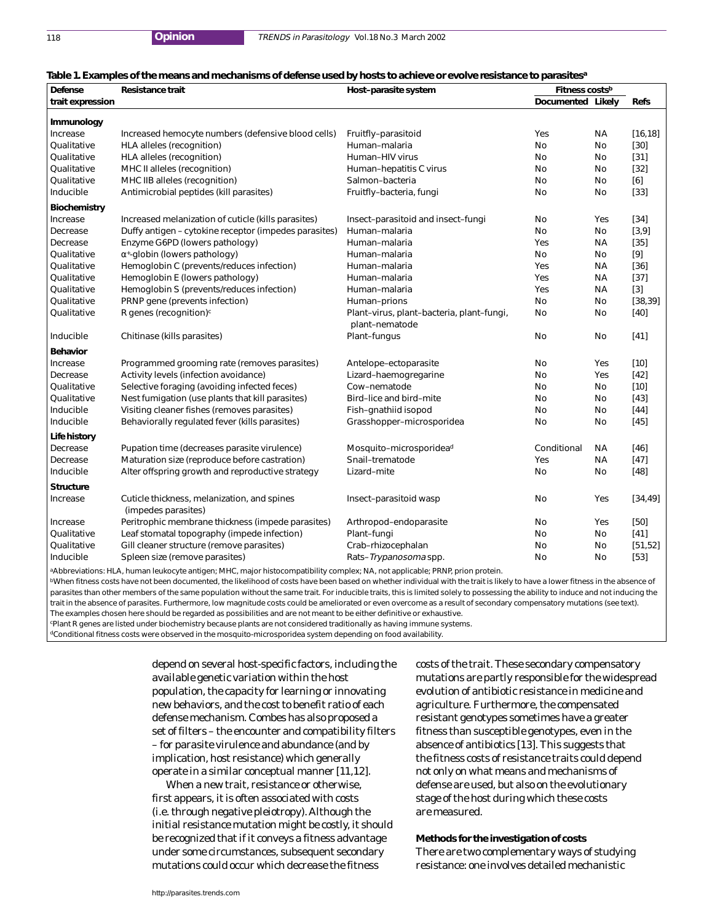#### **Table 1. Examples of the means and mechanisms of defense used by hosts to achieve or evolve resistance to parasitesa**

| <b>Defense</b>                                                                                                            | <b>Resistance trait</b>                                            | Host-parasite system                      | Fitness costs <sup>b</sup> |           |          |
|---------------------------------------------------------------------------------------------------------------------------|--------------------------------------------------------------------|-------------------------------------------|----------------------------|-----------|----------|
| trait expression                                                                                                          |                                                                    |                                           | Documented Likely          |           | Refs     |
|                                                                                                                           |                                                                    |                                           |                            |           |          |
| Immunology                                                                                                                |                                                                    |                                           |                            |           |          |
| Increase                                                                                                                  | Increased hemocyte numbers (defensive blood cells)                 | Fruitfly-parasitoid                       | Yes                        | ΝA        | [16, 18] |
| Qualitative                                                                                                               | HLA alleles (recognition)                                          | Human-malaria                             | No                         | No        | $[30]$   |
| Qualitative                                                                                                               | HLA alleles (recognition)                                          | Human-HIV virus                           | No                         | No        | $[31]$   |
| Qualitative                                                                                                               | MHC II alleles (recognition)                                       | Human-hepatitis C virus                   | No                         | No        | $[32]$   |
| Qualitative                                                                                                               | MHC IIB alleles (recognition)                                      | Salmon-bacteria                           | No                         | No        | [6]      |
| Inducible                                                                                                                 | Antimicrobial peptides (kill parasites)                            | Fruitfly-bacteria, fungi                  | No                         | No        | $[33]$   |
| Biochemistry                                                                                                              |                                                                    |                                           |                            |           |          |
| Increase                                                                                                                  | Increased melanization of cuticle (kills parasites)                | Insect-parasitoid and insect-fungi        | No                         | Yes       | $[34]$   |
| Decrease                                                                                                                  | Duffy antigen - cytokine receptor (impedes parasites)              | Human-malaria                             | No                         | No        | [3, 9]   |
| Decrease                                                                                                                  | Enzyme G6PD (lowers pathology)                                     | Human-malaria                             | Yes                        | ΝA        | $[35]$   |
| Qualitative                                                                                                               | $\alpha$ <sup>+</sup> -globin (lowers pathology)                   | Human-malaria                             | No                         | No        | $[9]$    |
| Qualitative                                                                                                               | Hemoglobin C (prevents/reduces infection)                          | Human-malaria                             | Yes                        | <b>NA</b> | $[36]$   |
| Qualitative                                                                                                               | Hemoglobin E (lowers pathology)                                    | Human-malaria                             | Yes                        | ΝA        | $[37]$   |
| Qualitative                                                                                                               | Hemoglobin S (prevents/reduces infection)                          | Human-malaria                             | Yes                        | ΝA        | $[3]$    |
| Qualitative                                                                                                               | PRNP gene (prevents infection)                                     | Human-prions                              | No                         | No        | [38, 39] |
| Qualitative                                                                                                               | R genes (recognition) <sup>c</sup>                                 | Plant-virus, plant-bacteria, plant-fungi, | No                         | No        | $[40]$   |
|                                                                                                                           |                                                                    | plant-nematode                            |                            |           |          |
| Inducible                                                                                                                 | Chitinase (kills parasites)                                        | Plant-fungus                              | No                         | No        | $[41]$   |
| <b>Behavior</b>                                                                                                           |                                                                    |                                           |                            |           |          |
| Increase                                                                                                                  | Programmed grooming rate (removes parasites)                       | Antelope-ectoparasite                     | No                         | Yes       | $[10]$   |
| Decrease                                                                                                                  | Activity levels (infection avoidance)                              | Lizard-haemogregarine                     | No                         | Yes       | $[42]$   |
| Qualitative                                                                                                               | Selective foraging (avoiding infected feces)                       | Cow-nematode                              | No                         | No        | $[10]$   |
| Qualitative                                                                                                               | Nest fumigation (use plants that kill parasites)                   | Bird-lice and bird-mite                   | No                         | No        | $[43]$   |
| Inducible                                                                                                                 | Visiting cleaner fishes (removes parasites)                        | Fish-gnathiid isopod                      | No                         | No        | $[44]$   |
| Inducible                                                                                                                 | Behaviorally regulated fever (kills parasites)                     | Grasshopper-microsporidea                 | No                         | No        | $[45]$   |
| Life history                                                                                                              |                                                                    |                                           |                            |           |          |
| Decrease                                                                                                                  | Pupation time (decreases parasite virulence)                       | Mosquito-microsporidead                   | Conditional                | NА        | [46]     |
| Decrease                                                                                                                  | Maturation size (reproduce before castration)                      | Snail-trematode                           | Yes                        | ΝA        | $[47]$   |
| Inducible                                                                                                                 | Alter offspring growth and reproductive strategy                   | Lizard-mite                               | No                         | No        | $[48]$   |
|                                                                                                                           |                                                                    |                                           |                            |           |          |
| <b>Structure</b>                                                                                                          |                                                                    |                                           |                            |           |          |
| Increase                                                                                                                  | Cuticle thickness, melanization, and spines<br>(impedes parasites) | Insect-parasitoid wasp                    | No                         | Yes       | [34, 49] |
| Increase                                                                                                                  | Peritrophic membrane thickness (impede parasites)                  | Arthropod-endoparasite                    | No                         | Yes       | $[50]$   |
| Qualitative                                                                                                               | Leaf stomatal topography (impede infection)                        | Plant-fungi                               | No                         | No        | $[41]$   |
| Qualitative                                                                                                               | Gill cleaner structure (remove parasites)                          | Crab-rhizocephalan                        | No                         | No        | [51, 52] |
| Inducible                                                                                                                 | Spleen size (remove parasites)                                     | Rats-Trypanosoma spp.                     | No                         | No        | $[53]$   |
| aAbbreviations: HLA buman leukocyte antigen: MHC, major histocompatibility complex: NA not applicable: PRNP prion protein |                                                                    |                                           |                            |           |          |

aAbbreviations: HLA, human leukocyte antigen; MHC, major histocompatibility complex; NA, not applicable; PRNP, prion protein.

bWhen fitness costs have not been documented, the likelihood of costs have been based on whether individual with the trait is likely to have a lower fitness in the absence of parasites than other members of the same population without the same trait. For inducible traits, this is limited solely to possessing the ability to induce and not inducing the trait in the absence of parasites. Furthermore, low magnitude costs could be ameliorated or even overcome as a result of secondary compensatory mutations (see text). The examples chosen here should be regarded as possibilities and are not meant to be either definitive or exhaustive.

cPlant R genes are listed under biochemistry because plants are not considered traditionally as having immune systems.

<sup>d</sup>Conditional fitness costs were observed in the mosquito-microsporidea system depending on food availability.

depend on several host-specific factors, including the available genetic variation within the host population, the capacity for learning or innovating new behaviors, and the cost to benefit ratio of each defense mechanism. Combes has also proposed a set of filters – the encounter and compatibility filters – for parasite virulence and abundance (and by implication, host resistance) which generally operate in a similar conceptual manner [11,12].

When a new trait, resistance or otherwise, first appears, it is often associated with costs (i.e. through negative pleiotropy). Although the initial resistance mutation might be costly, it should be recognized that if it conveys a fitness advantage under some circumstances, subsequent secondary mutations could occur which decrease the fitness

costs of the trait. These secondary compensatory mutations are partly responsible for the widespread evolution of antibiotic resistance in medicine and agriculture. Furthermore, the compensated resistant genotypes sometimes have a greater fitness than susceptible genotypes, even in the absence of antibiotics [13]. This suggests that the fitness costs of resistance traits could depend not only on what means and mechanisms of defense are used, but also on the evolutionary stage of the host during which these costs are measured.

**Methods for the investigation of costs** There are two complementary ways of studying resistance: one involves detailed mechanistic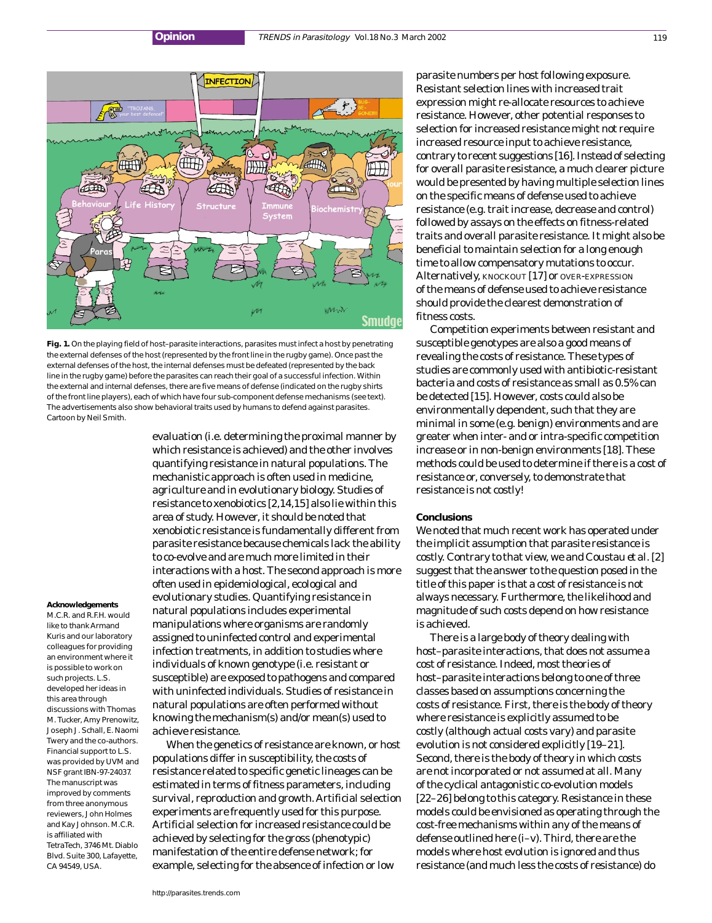

**Fig. 1.** On the playing field of host–parasite interactions, parasites must infect a host by penetrating the external defenses of the host (represented by the front line in the rugby game). Once past the external defenses of the host, the internal defenses must be defeated (represented by the back line in the rugby game) before the parasites can reach their goal of a successful infection. Within the external and internal defenses, there are five means of defense (indicated on the rugby shirts of the front line players), each of which have four sub-component defense mechanisms (see text). The advertisements also show behavioral traits used by humans to defend against parasites. Cartoon by Neil Smith.

xenobiotic resistance is fundamentally different from parasite resistance because chemicals lack the ability to co-evolve and are much more limited in their interactions with a host. The second approach is more often used in epidemiological, ecological and evolutionary studies. Quantifying resistance in natural populations includes experimental manipulations where organisms are randomly assigned to uninfected control and experimental infection treatments, in addition to studies where individuals of known genotype (i.e. resistant or **Acknowledgements** M.C.R. and R.F.H. would like to thank Armand Kuris and our laboratory colleagues for providing an environment where it is possible to work on developed her ideas in

such projects. L.S.

this area through discussions with Thomas M. Tucker, Amy Prenowitz, Joseph J. Schall, E. Naomi Twery and the co-authors. Financial support to L.S. was provided by UVM and NSF grant IBN-97-24037. The manuscript was improved by comments from three anonymous reviewers, John Holmes and Kay Johnson. M.C.R. is affiliated with TetraTech, 3746 Mt. Diablo Blvd. Suite 300, Lafayette, CA 94549, USA.

susceptible) are exposed to pathogens and compared with uninfected individuals. Studies of resistance in natural populations are often performed without knowing the mechanism(s) and/or mean(s) used to achieve resistance.

evaluation (i.e. determining the proximal manner by which resistance is achieved) and the other involves quantifying resistance in natural populations. The mechanistic approach is often used in medicine, agriculture and in evolutionary biology. Studies of resistance to xenobiotics [2,14,15] also lie within this area of study. However, it should be noted that

When the genetics of resistance are known, or host populations differ in susceptibility, the costs of resistance related to specific genetic lineages can be estimated in terms of fitness parameters, including survival, reproduction and growth. Artificial selection experiments are frequently used for this purpose. Artificial selection for increased resistance could be achieved by selecting for the gross (phenotypic) manifestation of the entire defense network; for example, selecting for the absence of infection or low

parasite numbers per host following exposure. Resistant selection lines with increased trait expression might re-allocate resources to achieve resistance. However, other potential responses to selection for increased resistance might not require increased resource input to achieve resistance, contrary to recent suggestions [16]. Instead of selecting for overall parasite resistance, a much clearer picture would be presented by having multiple selection lines on the specific means of defense used to achieve resistance (e.g. trait increase, decrease and control) followed by assays on the effects on fitness-related traits and overall parasite resistance. It might also be beneficial to maintain selection for a long enough time to allow compensatory mutations to occur. Alternatively, KNOCKOUT [17] or OVER-EXPRESSION of the means of defense used to achieve resistance should provide the clearest demonstration of fitness costs.

Competition experiments between resistant and susceptible genotypes are also a good means of revealing the costs of resistance. These types of studies are commonly used with antibiotic-resistant bacteria and costs of resistance as small as 0.5% can be detected [15]. However, costs could also be environmentally dependent, such that they are minimal in some (e.g. benign) environments and are greater when inter- and or intra-specific competition increase or in non-benign environments [18]. These methods could be used to determine if there is a cost of resistance or, conversely, to demonstrate that resistance is not costly!

## **Conclusions**

We noted that much recent work has operated under the implicit assumption that parasite resistance is costly. Contrary to that view, we and Coustau *et al*. [2] suggest that the answer to the question posed in the title of this paper is that a cost of resistance is not always necessary. Furthermore, the likelihood and magnitude of such costs depend on how resistance is achieved.

There is a large body of theory dealing with host–parasite interactions, that does not assume a cost of resistance. Indeed, most theories of host–parasite interactions belong to one of three classes based on assumptions concerning the costs of resistance. First, there is the body of theory where resistance is explicitly assumed to be costly (although actual costs vary) and parasite evolution is not considered explicitly [19–21]. Second, there is the body of theory in which costs are not incorporated or not assumed at all. Many of the cyclical antagonistic co-evolution models [22–26] belong to this category. Resistance in these models could be envisioned as operating through the cost-free mechanisms within any of the means of defense outlined here (i–v). Third, there are the models where host evolution is ignored and thus resistance (and much less the costs of resistance) do